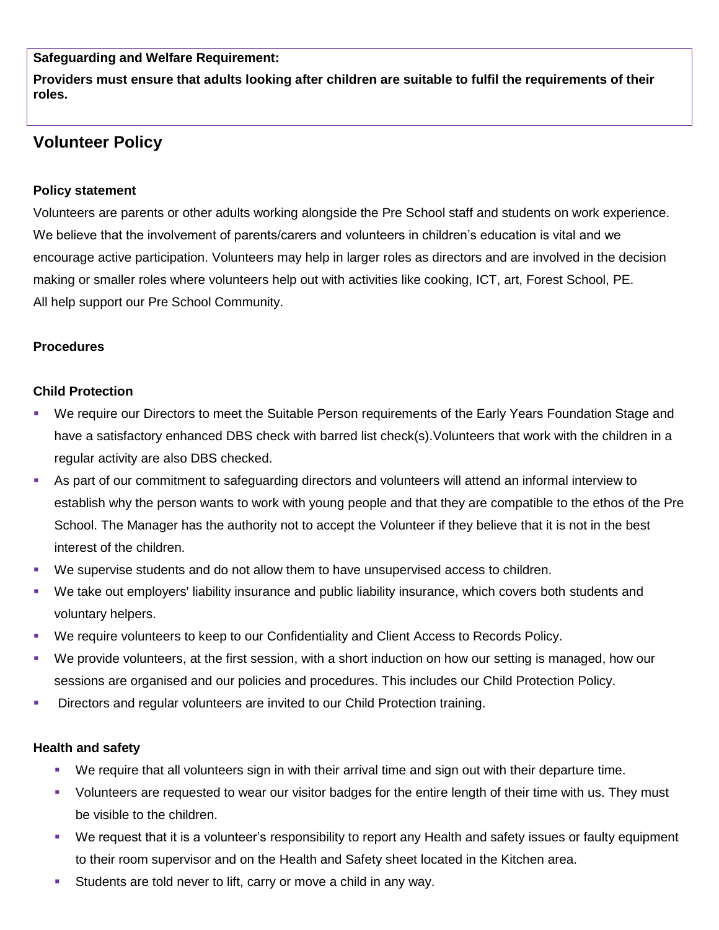**Safeguarding and Welfare Requirement:**

**Providers must ensure that adults looking after children are suitable to fulfil the requirements of their roles.**

# **Volunteer Policy**

# **Policy statement**

Volunteers are parents or other adults working alongside the Pre School staff and students on work experience. We believe that the involvement of parents/carers and volunteers in children's education is vital and we encourage active participation. Volunteers may help in larger roles as directors and are involved in the decision making or smaller roles where volunteers help out with activities like cooking, ICT, art, Forest School, PE. All help support our Pre School Community.

## **Procedures**

## **Child Protection**

- We require our Directors to meet the Suitable Person requirements of the Early Years Foundation Stage and have a satisfactory enhanced DBS check with barred list check(s).Volunteers that work with the children in a regular activity are also DBS checked.
- As part of our commitment to safeguarding directors and volunteers will attend an informal interview to establish why the person wants to work with young people and that they are compatible to the ethos of the Pre School. The Manager has the authority not to accept the Volunteer if they believe that it is not in the best interest of the children.
- We supervise students and do not allow them to have unsupervised access to children.
- We take out employers' liability insurance and public liability insurance, which covers both students and voluntary helpers.
- We require volunteers to keep to our Confidentiality and Client Access to Records Policy.
- We provide volunteers, at the first session, with a short induction on how our setting is managed, how our sessions are organised and our policies and procedures. This includes our Child Protection Policy.
- **Directors and regular volunteers are invited to our Child Protection training.**

## **Health and safety**

- We require that all volunteers sign in with their arrival time and sign out with their departure time.
- Volunteers are requested to wear our visitor badges for the entire length of their time with us. They must be visible to the children.
- We request that it is a volunteer's responsibility to report any Health and safety issues or faulty equipment to their room supervisor and on the Health and Safety sheet located in the Kitchen area.
- Students are told never to lift, carry or move a child in any way.